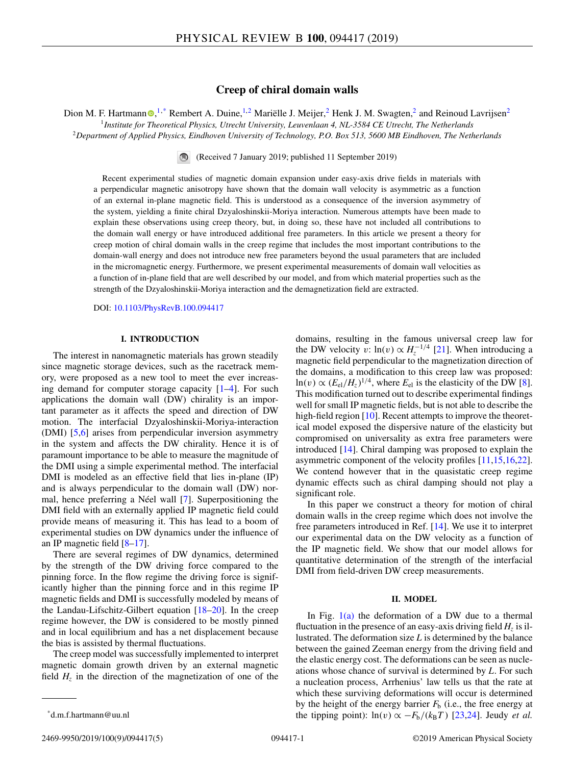# **Creep of chiral domain walls**

Dion M. F. Hartmann **(i)**[,](https://orcid.org/0000-0003-0465-2076) <sup>1,\*</sup> Rembert A. Duine, <sup>1,2</sup> Mariëlle J. Meijer, <sup>2</sup> Henk J. M. Swagten, <sup>2</sup> and Reinoud Lavrijsen<sup>2</sup> <sup>1</sup>*Institute for Theoretical Physics, Utrecht University, Leuvenlaan 4, NL-3584 CE Utrecht, The Netherlands* <sup>2</sup>*Department of Applied Physics, Eindhoven University of Technology, P.O. Box 513, 5600 MB Eindhoven, The Netherlands*

(Received 7 January 2019; published 11 September 2019)

Recent experimental studies of magnetic domain expansion under easy-axis drive fields in materials with a perpendicular magnetic anisotropy have shown that the domain wall velocity is asymmetric as a function of an external in-plane magnetic field. This is understood as a consequence of the inversion asymmetry of the system, yielding a finite chiral Dzyaloshinskii-Moriya interaction. Numerous attempts have been made to explain these observations using creep theory, but, in doing so, these have not included all contributions to the domain wall energy or have introduced additional free parameters. In this article we present a theory for creep motion of chiral domain walls in the creep regime that includes the most important contributions to the domain-wall energy and does not introduce new free parameters beyond the usual parameters that are included in the micromagnetic energy. Furthermore, we present experimental measurements of domain wall velocities as a function of in-plane field that are well described by our model, and from which material properties such as the strength of the Dzyaloshinskii-Moriya interaction and the demagnetization field are extracted.

DOI: [10.1103/PhysRevB.100.094417](https://doi.org/10.1103/PhysRevB.100.094417)

## **I. INTRODUCTION**

The interest in nanomagnetic materials has grown steadily since magnetic storage devices, such as the racetrack memory, were proposed as a new tool to meet the ever increasing demand for computer storage capacity [\[1–4\]](#page-4-0). For such applications the domain wall (DW) chirality is an important parameter as it affects the speed and direction of DW motion. The interfacial Dzyaloshinskii-Moriya-interaction (DMI) [\[5,6\]](#page-4-0) arises from perpendicular inversion asymmetry in the system and affects the DW chirality. Hence it is of paramount importance to be able to measure the magnitude of the DMI using a simple experimental method. The interfacial DMI is modeled as an effective field that lies in-plane (IP) and is always perpendicular to the domain wall (DW) normal, hence preferring a Néel wall [\[7\]](#page-4-0). Superpositioning the DMI field with an externally applied IP magnetic field could provide means of measuring it. This has lead to a boom of experimental studies on DW dynamics under the influence of an IP magnetic field [\[8–17\]](#page-4-0).

There are several regimes of DW dynamics, determined by the strength of the DW driving force compared to the pinning force. In the flow regime the driving force is significantly higher than the pinning force and in this regime IP magnetic fields and DMI is successfully modeled by means of the Landau-Lifschitz-Gilbert equation [\[18–20\]](#page-4-0). In the creep regime however, the DW is considered to be mostly pinned and in local equilibrium and has a net displacement because the bias is assisted by thermal fluctuations.

The creep model was successfully implemented to interpret magnetic domain growth driven by an external magnetic field  $H<sub>z</sub>$  in the direction of the magnetization of one of the

domains, resulting in the famous universal creep law for the DW velocity  $v: \ln(v) \propto H_z^{-1/4}$  [\[21\]](#page-4-0). When introducing a magnetic field perpendicular to the magnetization direction of the domains, a modification to this creep law was proposed:  $ln(v) \propto (E_{el}/H_z)^{1/4}$ , where  $E_{el}$  is the elasticity of the DW [\[8\]](#page-4-0). This modification turned out to describe experimental findings well for small IP magnetic fields, but is not able to describe the high-field region [\[10\]](#page-4-0). Recent attempts to improve the theoretical model exposed the dispersive nature of the elasticity but compromised on universality as extra free parameters were introduced [\[14\]](#page-4-0). Chiral damping was proposed to explain the asymmetric component of the velocity profiles [\[11,15,16,22\]](#page-4-0). We contend however that in the quasistatic creep regime dynamic effects such as chiral damping should not play a significant role.

In this paper we construct a theory for motion of chiral domain walls in the creep regime which does not involve the free parameters introduced in Ref. [\[14\]](#page-4-0). We use it to interpret our experimental data on the DW velocity as a function of the IP magnetic field. We show that our model allows for quantitative determination of the strength of the interfacial DMI from field-driven DW creep measurements.

#### **II. MODEL**

In Fig.  $1(a)$  the deformation of a DW due to a thermal fluctuation in the presence of an easy-axis driving field  $H<sub>z</sub>$  is illustrated. The deformation size *L* is determined by the balance between the gained Zeeman energy from the driving field and the elastic energy cost. The deformations can be seen as nucleations whose chance of survival is determined by *L*. For such a nucleation process, Arrhenius' law tells us that the rate at which these surviving deformations will occur is determined by the height of the energy barrier  $F<sub>b</sub>$  (i.e., the free energy at the tipping point):  $\ln(v) \propto -F_b/(k_B T)$  [\[23,24\]](#page-4-0). Jeudy *et al.* 

<sup>\*</sup>d.m.f.hartmann@uu.nl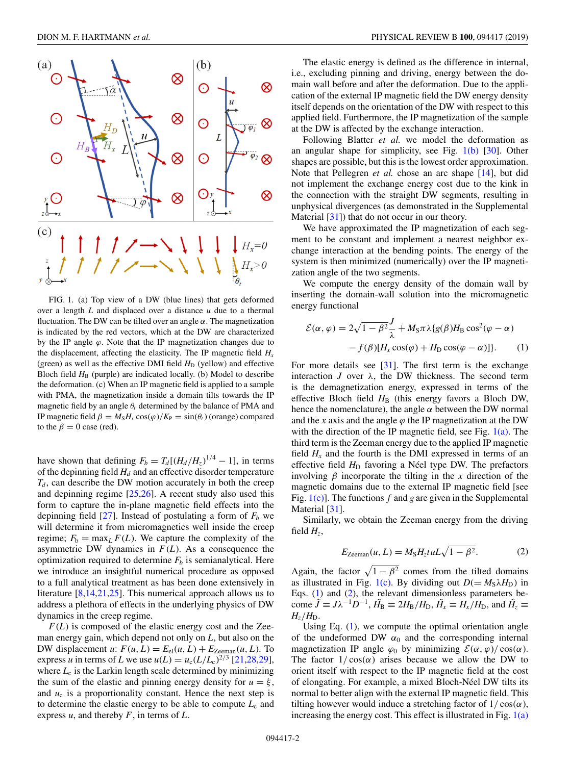<span id="page-1-0"></span>

FIG. 1. (a) Top view of a DW (blue lines) that gets deformed over a length *L* and displaced over a distance *u* due to a thermal fluctuation. The DW can be tilted over an angle  $\alpha$ . The magnetization is indicated by the red vectors, which at the DW are characterized by the IP angle  $\varphi$ . Note that the IP magnetization changes due to the displacement, affecting the elasticity. The IP magnetic field  $H_x$ (green) as well as the effective DMI field  $H<sub>D</sub>$  (yellow) and effective Bloch field  $H_B$  (purple) are indicated locally. (b) Model to describe the deformation. (c) When an IP magnetic field is applied to a sample with PMA, the magnetization inside a domain tilts towards the IP magnetic field by an angle  $\theta_t$  determined by the balance of PMA and IP magnetic field  $\beta = M_S H_x \cos(\varphi)/K_P = \sin(\theta_t)$  (orange) compared to the  $\beta = 0$  case (red).

have shown that defining  $F_b = T_d [(H_d/H_z)^{1/4} - 1]$ , in terms of the depinning field  $H_d$  and an effective disorder temperature  $T_d$ , can describe the DW motion accurately in both the creep and depinning regime [\[25,26\]](#page-4-0). A recent study also used this form to capture the in-plane magnetic field effects into the depinning field  $[27]$ . Instead of postulating a form of  $F_b$  we will determine it from micromagnetics well inside the creep regime;  $F_b = \max_L F(L)$ . We capture the complexity of the asymmetric DW dynamics in  $F(L)$ . As a consequence the optimization required to determine  $F_b$  is semianalytical. Here we introduce an insightful numerical procedure as opposed to a full analytical treatment as has been done extensively in literature [\[8,14,21,25\]](#page-4-0). This numerical approach allows us to address a plethora of effects in the underlying physics of DW dynamics in the creep regime.

 $F(L)$  is composed of the elastic energy cost and the Zeeman energy gain, which depend not only on *L*, but also on the DW displacement *u*:  $F(u, L) = E_{el}(u, L) + E_{Zeeman}(u, L)$ . To express *u* in terms of *L* we use  $u(L) = u_c(L/L_c)^{2/3}$  [\[21,28,29\]](#page-4-0), where  $L_c$  is the Larkin length scale determined by minimizing the sum of the elastic and pinning energy density for  $u = \xi$ , and  $u_c$  is a proportionality constant. Hence the next step is to determine the elastic energy to be able to compute  $L_c$  and express *u*, and thereby *F*, in terms of *L*.

The elastic energy is defined as the difference in internal, i.e., excluding pinning and driving, energy between the domain wall before and after the deformation. Due to the application of the external IP magnetic field the DW energy density itself depends on the orientation of the DW with respect to this applied field. Furthermore, the IP magnetization of the sample at the DW is affected by the exchange interaction.

Following Blatter *et al.* we model the deformation as an angular shape for simplicity, see Fig. 1(b) [\[30\]](#page-4-0). Other shapes are possible, but this is the lowest order approximation. Note that Pellegren *et al.* chose an arc shape [\[14\]](#page-4-0), but did not implement the exchange energy cost due to the kink in the connection with the straight DW segments, resulting in unphysical divergences (as demonstrated in the Supplemental Material [\[31\]](#page-4-0)) that do not occur in our theory.

We have approximated the IP magnetization of each segment to be constant and implement a nearest neighbor exchange interaction at the bending points. The energy of the system is then minimized (numerically) over the IP magnetization angle of the two segments.

We compute the energy density of the domain wall by inserting the domain-wall solution into the micromagnetic energy functional

$$
\mathcal{E}(\alpha, \varphi) = 2\sqrt{1 - \beta^2} \frac{J}{\lambda} + M_S \pi \lambda \{g(\beta) H_B \cos^2(\varphi - \alpha) - f(\beta) [H_x \cos(\varphi) + H_D \cos(\varphi - \alpha)]\}.
$$
 (1)

For more details see [\[31\]](#page-4-0). The first term is the exchange interaction *J* over  $\lambda$ , the DW thickness. The second term is the demagnetization energy, expressed in terms of the effective Bloch field  $H_B$  (this energy favors a Bloch DW, hence the nomenclature), the angle  $\alpha$  between the DW normal and the *x* axis and the angle  $\varphi$  the IP magnetization at the DW with the direction of the IP magnetic field, see Fig.  $1(a)$ . The third term is the Zeeman energy due to the applied IP magnetic field  $H_x$  and the fourth is the DMI expressed in terms of an effective field *H*<sub>D</sub> favoring a Néel type DW. The prefactors involving  $\beta$  incorporate the tilting in the *x* direction of the magnetic domains due to the external IP magnetic field [see Fig. 1(c)]. The functions *f* and *g* are given in the Supplemental Material [\[31\]](#page-4-0).

Similarly, we obtain the Zeeman energy from the driving field  $H_z$ ,

$$
E_{\text{Zeeman}}(u, L) = M_{\text{S}} H_z t u L \sqrt{1 - \beta^2}.
$$
 (2)

Again, the factor  $\sqrt{1-\beta^2}$  comes from the tilted domains as illustrated in Fig. 1(c). By dividing out  $D(= M_S \lambda H_D)$  in Eqs. (1) and (2), the relevant dimensionless parameters become  $\tilde{J} \equiv J\lambda^{-1}D^{-1}$ ,  $\tilde{H}_B \equiv 2H_B/H_D$ ,  $\tilde{H}_x \equiv H_x/H_D$ , and  $\tilde{H}_z \equiv$  $H_z/H_D$ .

Using Eq.  $(1)$ , we compute the optimal orientation angle of the undeformed DW  $\alpha_0$  and the corresponding internal magnetization IP angle  $\varphi_0$  by minimizing  $\mathcal{E}(\alpha, \varphi)/\cos(\alpha)$ . The factor  $1/\cos(\alpha)$  arises because we allow the DW to orient itself with respect to the IP magnetic field at the cost of elongating. For example, a mixed Bloch-Néel DW tilts its normal to better align with the external IP magnetic field. This tilting however would induce a stretching factor of  $1/\cos(\alpha)$ , increasing the energy cost. This effect is illustrated in Fig.  $1(a)$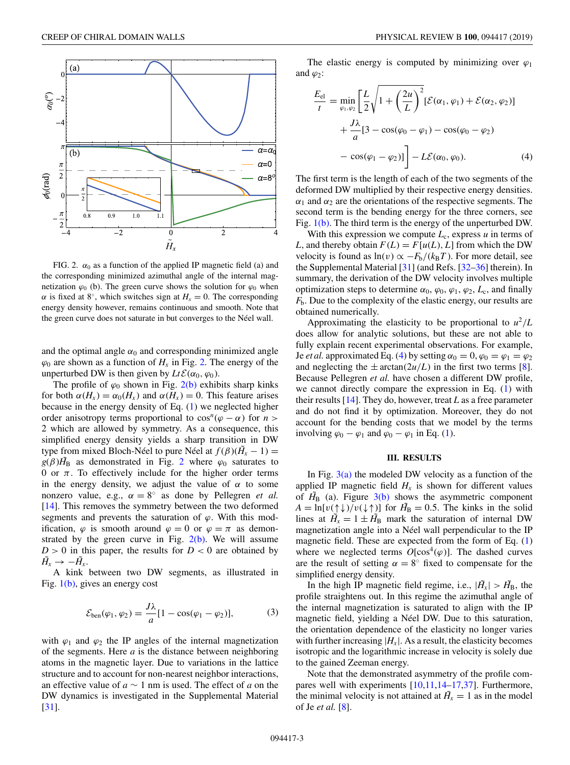

FIG. 2.  $\alpha_0$  as a function of the applied IP magnetic field (a) and the corresponding minimized azimuthal angle of the internal magnetization  $\varphi_0$  (b). The green curve shows the solution for  $\varphi_0$  when  $\alpha$  is fixed at 8°, which switches sign at  $H_x = 0$ . The corresponding energy density however, remains continuous and smooth. Note that the green curve does not saturate in but converges to the Néel wall.

and the optimal angle  $\alpha_0$  and corresponding minimized angle  $\varphi_0$  are shown as a function of  $H_x$  in Fig. 2. The energy of the unperturbed DW is then given by  $Lt\mathcal{E}(\alpha_0, \varphi_0)$ .

The profile of  $\varphi_0$  shown in Fig. 2(b) exhibits sharp kinks for both  $\alpha(H_x) = \alpha_0(H_x)$  and  $\alpha(H_x) = 0$ . This feature arises because in the energy density of Eq. [\(1\)](#page-1-0) we neglected higher order anisotropy terms proportional to  $\cos^n(\varphi - \alpha)$  for  $n >$ 2 which are allowed by symmetry. As a consequence, this simplified energy density yields a sharp transition in DW type from mixed Bloch-Néel to pure Néel at  $f(\beta)(\tilde{H}_x - 1) =$  $g(\beta)\tilde{H}_B$  as demonstrated in Fig. 2 where  $\varphi_0$  saturates to 0 or  $\pi$ . To effectively include for the higher order terms in the energy density, we adjust the value of  $\alpha$  to some nonzero value, e.g.,  $\alpha = 8^\circ$  as done by Pellegren *et al.* [\[14\]](#page-4-0). This removes the symmetry between the two deformed segments and prevents the saturation of  $\varphi$ . With this modification,  $\varphi$  is smooth around  $\varphi = 0$  or  $\varphi = \pi$  as demonstrated by the green curve in Fig.  $2(b)$ . We will assume  $D > 0$  in this paper, the results for  $D < 0$  are obtained by  $\tilde{H}_x \rightarrow -\tilde{H}_x$ .

A kink between two DW segments, as illustrated in Fig. [1\(b\),](#page-1-0) gives an energy cost

$$
\mathcal{E}_{ben}(\varphi_1, \varphi_2) = \frac{J\lambda}{a} [1 - \cos(\varphi_1 - \varphi_2)],\tag{3}
$$

with  $\varphi_1$  and  $\varphi_2$  the IP angles of the internal magnetization of the segments. Here *a* is the distance between neighboring atoms in the magnetic layer. Due to variations in the lattice structure and to account for non-nearest neighbor interactions, an effective value of *a* ∼ 1 nm is used. The effect of *a* on the DW dynamics is investigated in the Supplemental Material [\[31\]](#page-4-0).

The elastic energy is computed by minimizing over  $\varphi_1$ and  $\varphi_2$ :

$$
\frac{E_{\rm el}}{t} = \min_{\varphi_1, \varphi_2} \left[ \frac{L}{2} \sqrt{1 + \left( \frac{2u}{L} \right)^2} \left[ \mathcal{E}(\alpha_1, \varphi_1) + \mathcal{E}(\alpha_2, \varphi_2) \right] \right. \\ \left. + \frac{J\lambda}{a} \left[ 3 - \cos(\varphi_0 - \varphi_1) - \cos(\varphi_0 - \varphi_2) \right. \right. \\ \left. - \cos(\varphi_1 - \varphi_2) \right] \right] - L\mathcal{E}(\alpha_0, \varphi_0). \tag{4}
$$

The first term is the length of each of the two segments of the deformed DW multiplied by their respective energy densities.  $\alpha_1$  and  $\alpha_2$  are the orientations of the respective segments. The second term is the bending energy for the three corners, see Fig. [1\(b\).](#page-1-0) The third term is the energy of the unperturbed DW.

With this expression we compute  $L_c$ , express  $u$  in terms of *L*, and thereby obtain  $F(L) = F[u(L), L]$  from which the DW velocity is found as  $ln(v) \propto -F_b/(k_B T)$ . For more detail, see the Supplemental Material [\[31\]](#page-4-0) (and Refs. [\[32–36\]](#page-4-0) therein). In summary, the derivation of the DW velocity involves multiple optimization steps to determine  $\alpha_0$ ,  $\varphi_0$ ,  $\varphi_1$ ,  $\varphi_2$ ,  $L_c$ , and finally *F*b. Due to the complexity of the elastic energy, our results are obtained numerically.

Approximating the elasticity to be proportional to  $u^2/L$ does allow for analytic solutions, but these are not able to fully explain recent experimental observations. For example, Je *et al.* approximated Eq. (4) by setting  $\alpha_0 = 0$ ,  $\varphi_0 = \varphi_1 = \varphi_2$ and neglecting the  $\pm$  arctan( $2u/L$ ) in the first two terms [\[8\]](#page-4-0). Because Pellegren *et al.* have chosen a different DW profile, we cannot directly compare the expression in Eq. [\(1\)](#page-1-0) with their results [\[14\]](#page-4-0). They do, however, treat *L* as a free parameter and do not find it by optimization. Moreover, they do not account for the bending costs that we model by the terms involving  $\varphi_0 - \varphi_1$  and  $\varphi_0 - \varphi_1$  in Eq. [\(1\)](#page-1-0).

## **III. RESULTS**

In Fig.  $3(a)$  the modeled DW velocity as a function of the applied IP magnetic field  $H_x$  is shown for different values of  $H<sub>B</sub>$  (a). Figure [3\(b\)](#page-3-0) shows the asymmetric component  $A = \ln[v(\uparrow\downarrow)/v(\downarrow\uparrow)]$  for  $H_B = 0.5$ . The kinks in the solid lines at  $\tilde{H}_x = 1 \pm \tilde{H}_B$  mark the saturation of internal DW magnetization angle into a Néel wall perpendicular to the IP magnetic field. These are expected from the form of Eq.  $(1)$ where we neglected terms  $O[\cos^4(\varphi)]$ . The dashed curves are the result of setting  $\alpha = 8^\circ$  fixed to compensate for the simplified energy density.

In the high IP magnetic field regime, i.e.,  $|\tilde{H}_x| > \tilde{H}_B$ , the profile straightens out. In this regime the azimuthal angle of the internal magnetization is saturated to align with the IP magnetic field, yielding a Néel DW. Due to this saturation, the orientation dependence of the elasticity no longer varies with further increasing  $|H_x|$ . As a result, the elasticity becomes isotropic and the logarithmic increase in velocity is solely due to the gained Zeeman energy.

Note that the demonstrated asymmetry of the profile compares well with experiments [\[10,11,14–17,37\]](#page-4-0). Furthermore, the minimal velocity is not attained at  $H_x = 1$  as in the model of Je *et al.* [\[8\]](#page-4-0).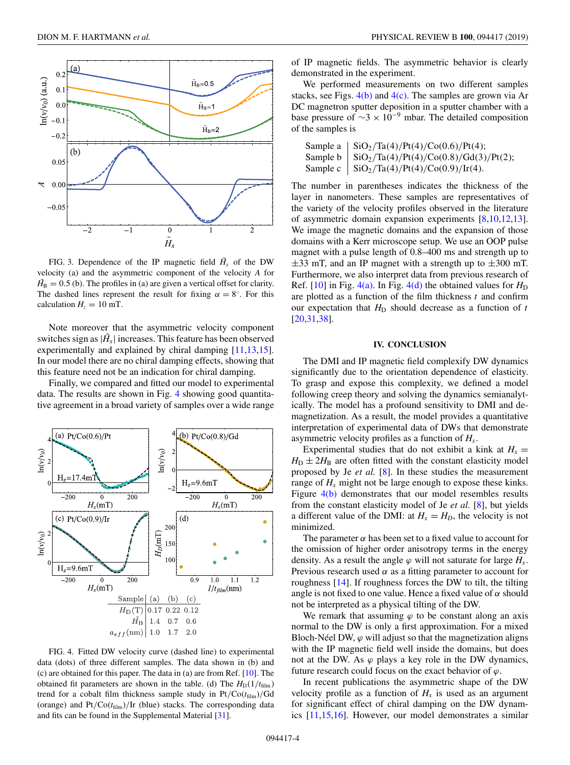<span id="page-3-0"></span>

FIG. 3. Dependence of the IP magnetic field  $\tilde{H}_x$  of the DW velocity (a) and the asymmetric component of the velocity *A* for  $\tilde{H}_B = 0.5$  (b). The profiles in (a) are given a vertical offset for clarity. The dashed lines represent the result for fixing  $\alpha = 8^\circ$ . For this calculation  $H_z = 10$  mT.

Note moreover that the asymmetric velocity component switches sign as  $|\tilde{H}_x|$  increases. This feature has been observed experimentally and explained by chiral damping [\[11,13,15\]](#page-4-0). In our model there are no chiral damping effects, showing that this feature need not be an indication for chiral damping.

Finally, we compared and fitted our model to experimental data. The results are shown in Fig. 4 showing good quantitative agreement in a broad variety of samples over a wide range



FIG. 4. Fitted DW velocity curve (dashed line) to experimental data (dots) of three different samples. The data shown in (b) and (c) are obtained for this paper. The data in (a) are from Ref. [\[10\]](#page-4-0). The obtained fit parameters are shown in the table. (d) The  $H_D(1/t_{\text{film}})$ trend for a cobalt film thickness sample study in  $Pt/Co(t<sub>film</sub>)/Gd$ (orange) and  $Pt/Co(t<sub>film</sub>)/Ir$  (blue) stacks. The corresponding data and fits can be found in the Supplemental Material [\[31\]](#page-4-0).

of IP magnetic fields. The asymmetric behavior is clearly demonstrated in the experiment.

We performed measurements on two different samples stacks, see Figs.  $4(b)$  and  $4(c)$ . The samples are grown via Ar DC magnetron sputter deposition in a sputter chamber with a base pressure of  $\sim$ 3 × 10<sup>-9</sup> mbar. The detailed composition of the samples is

| Sample a $\int$ SiO <sub>2</sub> /Ta(4)/Pt(4)/Co(0.6)/Pt(4);                      |
|-----------------------------------------------------------------------------------|
| Sample b   $SiO_2/Ta(4)/Pt(4)/Co(0.8)/Gd(3)/Pt(2);$                               |
| Sample c   $\text{SiO}_2/\text{Ta}(4)/\text{Pt}(4)/\text{Co}(0.9)/\text{Ir}(4)$ . |

The number in parentheses indicates the thickness of the layer in nanometers. These samples are representatives of the variety of the velocity profiles observed in the literature of asymmetric domain expansion experiments [\[8,10,12,13\]](#page-4-0). We image the magnetic domains and the expansion of those domains with a Kerr microscope setup. We use an OOP pulse magnet with a pulse length of 0.8–400 ms and strength up to  $\pm$ 33 mT, and an IP magnet with a strength up to  $\pm$ 300 mT. Furthermore, we also interpret data from previous research of Ref.  $[10]$  in Fig. 4(a). In Fig. 4(d) the obtained values for  $H_D$ are plotted as a function of the film thickness *t* and confirm our expectation that  $H_D$  should decrease as a function of  $t$ [\[20,31,38\]](#page-4-0).

#### **IV. CONCLUSION**

The DMI and IP magnetic field complexify DW dynamics significantly due to the orientation dependence of elasticity. To grasp and expose this complexity, we defined a model following creep theory and solving the dynamics semianalytically. The model has a profound sensitivity to DMI and demagnetization. As a result, the model provides a quantitative interpretation of experimental data of DWs that demonstrate asymmetric velocity profiles as a function of  $H<sub>x</sub>$ .

Experimental studies that do not exhibit a kink at  $H_x =$  $H_D \pm 2H_B$  are often fitted with the constant elasticity model proposed by Je *et al.* [\[8\]](#page-4-0). In these studies the measurement range of  $H_x$  might not be large enough to expose these kinks. Figure 4(b) demonstrates that our model resembles results from the constant elasticity model of Je *et al.* [\[8\]](#page-4-0), but yields a different value of the DMI: at  $H_x = H_D$ , the velocity is not minimized.

The parameter  $\alpha$  has been set to a fixed value to account for the omission of higher order anisotropy terms in the energy density. As a result the angle  $\varphi$  will not saturate for large  $H_x$ . Previous research used  $\alpha$  as a fitting parameter to account for roughness [\[14\]](#page-4-0). If roughness forces the DW to tilt, the tilting angle is not fixed to one value. Hence a fixed value of  $\alpha$  should not be interpreted as a physical tilting of the DW.

We remark that assuming  $\varphi$  to be constant along an axis normal to the DW is only a first approximation. For a mixed Bloch-Néel DW,  $\varphi$  will adjust so that the magnetization aligns with the IP magnetic field well inside the domains, but does not at the DW. As  $\varphi$  plays a key role in the DW dynamics, future research could focus on the exact behavior of  $\varphi$ .

In recent publications the asymmetric shape of the DW velocity profile as a function of  $H_x$  is used as an argument for significant effect of chiral damping on the DW dynamics [\[11,15,16\]](#page-4-0). However, our model demonstrates a similar